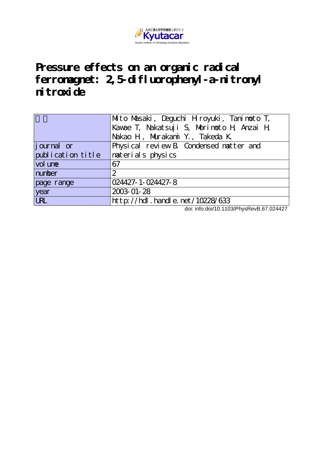

# **Pressure effects on an organic radical ferromagnet: 2,5-difluorophenyl-a-nitronyl nitroxide**

|                   | Mito Masaki, Deguchi Hiroyuki, Tanimoto T, |
|-------------------|--------------------------------------------|
|                   | Kawae T, Nakatsuji S, Norinoto H, Anzai H  |
|                   | Nakao H, Murakani Y., Takeda K.            |
| journal or        | Physical review B. Condensed natter and    |
| publication title | naterials physics                          |
| vol une           | 67                                         |
| number            | $\overline{2}$                             |
| page range        | 024427-1-024427-8                          |
| year              | 2003-01-28                                 |
| <b>URL</b>        | http://hdl.handle.net/10228/633            |

doi: info:doi/10.1103/PhysRevB.67.024427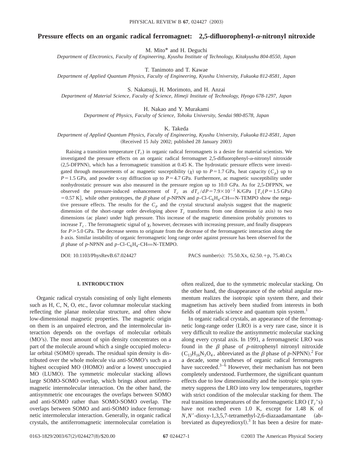# **Pressure effects on an organic radical ferromagnet: 2,5-difluorophenyl-** $\alpha$ **-nitronyl nitroxide**

M. Mito\* and H. Deguchi

*Department of Electronics, Faculty of Engineering, Kyushu Institute of Technology, Kitakyushu 804-8550, Japan*

T. Tanimoto and T. Kawae

*Department of Applied Quantum Physics, Faculty of Engineering, Kyushu University, Fukuoka 812-8581, Japan*

S. Nakatsuji, H. Morimoto, and H. Anzai

*Department of Material Science, Faculty of Science, Himeji Institute of Technology, Hyogo 678-1297, Japan*

H. Nakao and Y. Murakami

*Department of Physics, Faculty of Science, Tohoku University, Sendai 980-8578, Japan*

K. Takeda

*Department of Applied Quantum Physics, Faculty of Engineering, Kyushu University, Fukuoka 812-8581, Japan* (Received 15 July 2002; published 28 January 2003)

Raising a transition temperature  $(T_c)$  in organic radical ferromagnets is a desire for material scientists. We investigated the pressure effects on an organic radical ferromagnet 2,5-difluorophenyl-a-nitronyl nitroxide (2,5-DFPNN), which has a ferromagnetic transition at 0.45 K. The hydrostatic pressure effects were investigated through measurements of ac magnetic susceptibility  $(\chi)$  up to *P*=1.7 GPa, heat capacity (*C<sub>p</sub>*) up to  $P=1.5$  GPa, and powder x-ray diffraction up to  $P=4.7$  GPa. Furthermore, ac magnetic susceptibility under nonhydrostatic pressure was also measured in the pressure region up to 10.0 GPa. As for 2,5-DFPNN, we observed the pressure-induced enhancement of  $T_c$  as  $dT_c/dP = 7.9 \times 10^{-2}$  K/GPa  $T_c(P=1.5 \text{ GPa})$  $= 0.57$  K], while other prototypes, the  $\beta$  phase of *p*-NPNN and *p*-Cl-C<sub>6</sub>H<sub>4</sub>-CH=N-TEMPO show the negative pressure effects. The results for the  $C_p$  and the crystal structural analysis suggest that the magnetic dimension of the short-range order developing above  $T_c$  transforms from one dimension (*a* axis) to two dimensions (ac plane) under high pressure. This increase of the magnetic dimension probably promotes to increase  $T_c$ . The ferromagnetic signal of  $\chi$ , however, decreases with increasing pressure, and finally disappears for  $P \ge 5.0$  GPa. The decrease seems to originate from the decrease of the ferromagnetic interaction along the *b* axis. Similar instability of organic ferromagnetic long range order against pressure has been observed for the  $\beta$  phase of *p*-NPNN and *p*-Cl-C<sub>6</sub>H<sub>4</sub>-CH=N-TEMPO.

DOI: 10.1103/PhysRevB.67.024427 PACS number(s): 75.50.Xx, 62.50.+p, 75.40.Cx

# **I. INTRODUCTION**

Organic radical crystals consisting of only light elements such as H, C, N, O, etc., favor columnar molecular stacking reflecting the planar molecular structure, and often show low-dimensional magnetic properties. The magnetic origin on them is an unpaired electron, and the intermolecular interaction depends on the overlaps of molecular orbitals (MO's). The most amount of spin density concentrates on a part of the molecule around which a single occupied molecular orbital (SOMO) spreads. The residual spin density is distributed over the whole molecule via anti-SOMO's such as a highest occupied MO (HOMO) and/or a lowest unoccupied MO (LUMO). The symmetric molecular stacking allows large SOMO-SOMO overlap, which brings about antiferromagnetic intermolecular interaction. On the other hand, the antisymmetric one encourages the overlaps between SOMO and anti-SOMO rather than SOMO-SOMO overlap. The overlaps between SOMO and anti-SOMO induce ferromagnetic intermolecular interaction. Generally, in organic radical crystals, the antiferromagnetic intermolecular correlation is

often realized, due to the symmetric molecular stacking. On the other hand, the disappearance of the orbital angular momentum realizes the isotropic spin system there, and their magnetism has actively been studied from interests in both fields of materials science and quantum spin system.<sup>1</sup>

In organic radical crystals, an appearance of the ferromagnetic long-range order (LRO) is a very rare case, since it is very difficult to realize the antisymmetric molecular stacking along every crystal axis. In 1991, a ferromagnetic LRO was found in the  $\beta$  phase of *p*-nitrophenyl nitronyl nitroxide  $(C_{13}H_{16}N_3O_4$ , abbreviated as the  $\beta$  phase of *p*-NPNN).<sup>2</sup> For a decade, some syntheses of organic radical ferromagnets have succeeded. $3-6$  However, their mechanism has not been completely understood. Furthermore, the significant quantum effects due to low dimensionality and the isotropic spin symmetry suppress the LRO into very low temperatures, together with strict condition of the molecular stacking for them. The real transition temperatures of the ferromagnetic LRO  $(T_c$ 's) have not reached even 1.0 K, except for 1.48 K of  $N$ , $N'$ -dioxy-1,3,5,7-tetramethyl-2,6-diazaadamantane (abbreviated as dupeyredioxyl).<sup>3</sup> It has been a desire for mate-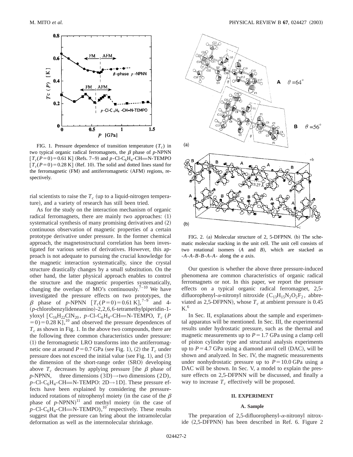

FIG. 1. Pressure dependence of transition temperature  $(T_c)$  in two typical organic radical ferromagnets, the  $\beta$  phase of *p*-NPNN  $[T_c(P=0) = 0.61 \text{ K}]$  (Refs. 7–9) and *p*-Cl-C<sub>6</sub>H<sub>4</sub>-CH=N-TEMPO  $[T_c(P=0)=0.28 \text{ K}]$  (Ref. 10). The solid and dotted lines stand for the ferromagnetic (FM) and antiferromagnetic (AFM) regions, respectively.

rial scientists to raise the  $T_c$  (up to a liquid-nitrogen temperature), and a variety of research has still been tried.

As for the study on the interaction mechanism of organic radical ferromagnets, there are mainly two approaches:  $(1)$ systematical synthesis of many promising derivatives and  $(2)$ continuous observation of magnetic properties of a certain prototype derivative under pressure. In the former chemical approach, the magnetostructural correlation has been investigated for various series of derivatives. However, this approach is not adequate to pursuing the crucial knowledge for the magnetic interaction systematically, since the crystal structure drastically changes by a small substitution. On the other hand, the latter physical approach enables to control the structure and the magnetic properties systematically, changing the overlaps of MO's continuously.<sup> $7-10$ </sup> We have investigated the pressure effects on two prototypes, the  $\beta$  phase of *p*-NPNN  $[T_c(P=0) = 0.61 \text{ K}]$ ,<sup>7-9</sup> and 4-~*p*-chlorobenzylideneamino!-2,2,6,6-tetramethylpiperidin-1 yloxyl  $[C_{16}H_{22}CIN_{20}$ , *p*-Cl-C<sub>6</sub>H<sub>4</sub>-CH=N-TEMPO, *T<sub>c</sub>* (*P*  $(50) = 0.28$  K],<sup>10</sup> and observed the pressure dependences of  $T_c$  as shown in Fig. 1. In the above two compounds, there are the following three common characteristics under pressure:  $(1)$  the ferromagnetic LRO transforms into the antiferromagnetic one at around  $P=0.7$  GPa (see Fig. 1), (2) the  $T_c$  under pressure does not exceed the initial value (see Fig. 1), and  $(3)$ the dimension of the short-range order (SRO) developing above  $T_c$  decreases by applying pressure [the  $\beta$  phase of *p*-NPNN, three dimensions (3D) $\rightarrow$ two dimensions (2D),  $p$ -Cl-C<sub>6</sub>H<sub>4</sub>-CH=N-TEMPO: 2D→1D]. These pressure effects have been explained by considering the pressureinduced rotations of nitrophenyl moiety (in the case of the  $\beta$ phase of  $p$ -NPNN)<sup>11</sup> and methyl moiety (in the case of  $p$ -Cl-C<sub>6</sub>H<sub>4</sub>-CH=N-TEMPO),<sup>10</sup> respectively. These results suggest that the pressure can bring about the intramolecular deformation as well as the intermolecular shrinkage.



FIG. 2. (a) Molecular structure of 2, 5-DFPNN. (b) The schematic molecular stacking in the unit cell. The unit cell consists of two rotational isomers  $(A \text{ and } B)$ , which are stacked as -*A*-*A*-*B*-*B*-*A*-*A*- along the *a* axis.

Our question is whether the above three pressure-induced phenomena are common characteristics of organic radical ferromagnets or not. In this paper, we report the pressure effects on a typical organic radical ferromagnet, 2,5 difluorophenyl- $\alpha$ -nitronyl nitroxide (C<sub>13</sub>H<sub>15</sub>N<sub>2</sub>O<sub>2</sub>F<sub>2</sub>, abbreviated as 2,5-DFPNN), whose  $T_c$  at ambient pressure is 0.45  $K<sup>6</sup>$ 

In Sec. II, explanations about the sample and experimental apparatus will be mentioned. In Sec. III, the experimental results under hydrostatic pressure, such as the thermal and magnetic measurements up to  $P=1.7$  GPa using a clamp cell of piston cylinder type and structural analysis experiments up to  $P=4.7$  GPa using a diamond anvil cell (DAC), will be shown and analyzed. In Sec. IV, the magnetic measurements under nonhydrostatic pressure up to  $P = 10.0$  GPa using a DAC will be shown. In Sec. V, a model to explain the pressure effects on 2,5-DFPNN will be discussed, and finally a way to increase  $T_c$  effectively will be proposed.

# **II. EXPERIMENT**

### **A. Sample**

The preparation of 2,5-difluorophenyl- $\alpha$ -nitronyl nitroxide  $(2,5-DFPNN)$  has been described in Ref. 6. Figure 2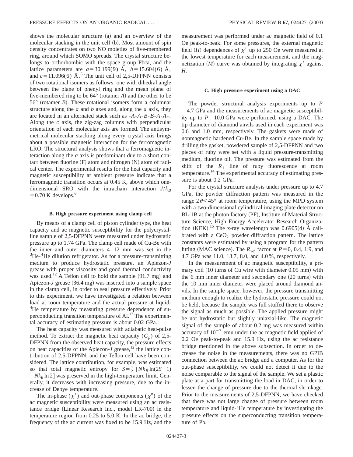shows the molecular structure (a) and an overview of the molecular stacking in the unit cell (b). Most amount of spin density concentrates on two NO moieties of five-membered ring, around which SOMO spreads. The crystal structure belongs to orthorhombic with the space group Pbca, and the lattice parameters are  $a = 30.199(9)$  Å,  $b = 15.604(6)$  Å, and  $c=11.096(6)$  Å.<sup>6</sup> The unit cell of 2,5-DFPNN consists of two rotational isomers as follows: one with dihedral angle between the plane of phenyl ring and the mean plane of five-membered ring to be  $64^{\circ}$  (rotamer *A*) and the other to be  $56^{\circ}$  (rotamer *B*). These rotational isomers form a columnar structure along the *a* and *b* axes and, along the *a* axis, they are located in an alternated stack such as -*A*-*A*-*B*-*B*-*A*-*A*-. Along the *c* axis, the zig-zag columns with perpendicular orientation of each molecular axis are formed. The antisymmetrical molecular stacking along every crystal axis brings about a possible magnetic interaction for the ferromagnetic LRO. The structural analysis shows that a ferromagnetic interaction along the *a* axis is predominant due to a short contact between fluorine  $(F)$  atom and nitrogen  $(N)$  atom of radical center. The experimental results for the heat capacity and magnetic susceptibility at ambient pressure indicate that a ferromagnetic transition occurs at 0.45 K, above which onedimensional SRO with the intrachain interaction  $J/k_B$  $=0.70$  K develops.<sup>6</sup>

#### **B. High pressure experiment using clamp cell**

By means of a clamp cell of piston cylinder type, the heat capacity and ac magnetic susceptibility for the polycrystalline sample of 2,5-DFPNN were measured under hydrostatic pressure up to 1.74 GPa. The clamp cell made of Cu-Be with the inner and outer diameters 4–12 mm was set in the  ${}^{3}$ He- ${}^{4}$ He dilution refrigerator. As for a pressure-transmitting medium to produce hydrostatic pressure, an Apiezon-*J* grease with proper viscosity and good thermal conductivity was used.<sup>12</sup> A Teflon cell to hold the sample  $(91.7 \text{ mg})$  and Apiezon-*J* grease (36.4 mg) was inserted into a sample space in the clamp cell, in order to seal pressure effectively. Prior to this experiment, we have investigated a relation between load at room temperature and the actual pressure at liquid-<sup>4</sup>He temperature by measuring pressure dependence of superconducting transition temperature of Al.<sup>13</sup> The experimental accuracy of estimating pressure is about 0.02 GPa.

The heat capacity was measured with adiabatic heat-pulse method. To extract the magnetic heat capacity  $(C_p)$  of 2,5-DFPNN from the observed heat capacity, the pressure effects on heat capacities of the Apiezon-*J* grease,<sup>12</sup> the lattice contribution of 2,5-DFPNN, and the Teflon cell have been considered. The lattice contribution, for example, was estimated so that total magnetic entropy for  $S = \frac{1}{2} \left[ N k_B \ln(2S+1) \right]$  $=Nk_B \ln 2$  was preserved in the high-temperature limit. Generally, it decreases with increasing pressure, due to the increase of Debye temperature.

The in-phase ( $\chi'$ ) and out-phase components ( $\chi''$ ) of the ac magnetic susceptibility were measured using an ac resistance bridge (Linear Research Inc., model LR-700) in the temperature region from 0.25 to 5.0 K. In the ac bridge, the frequency of the ac current was fixed to be 15.9 Hz, and the measurement was performed under ac magnetic field of 0.1 Oe peak-to-peak. For some pressures, the external magnetic field  $(H)$  dependences of  $\chi'$  up to 250 Oe were measured at the lowest temperature for each measurement, and the magnetization  $(M)$  curve was obtained by integrating  $\chi'$  against *H*.

### **C. High pressure experiment using a DAC**

The powder structural analysis experiments up to *P*  $=$  4.7 GPa and the measurements of ac magnetic susceptibility up to  $P = 10.0$  GPa were performed, using a DAC. The tip diameter of diamond anvils used in each experiment was 0.6 and 1.0 mm, respectively. The gaskets were made of nonmagnetic hardened Cu-Be. In the sample space made by drilling the gasket, powdered sample of 2,5-DFPNN and two pieces of ruby were set with a liquid pressure-transmitting medium, fluorine oil. The pressure was estimated from the shift of the  $R_1$  line of ruby fluorescence at room temperature.<sup>14</sup> The experimental accuracy of estimating pressure is about 0.2 GPa.

For the crystal structure analysis under pressure up to 4.7 GPa, the powder diffraction pattern was measured in the range  $2\theta \leq 45^{\circ}$  at room temperature, using the MPD system with a two-dimensional cylindrical imaging plate detector on BL-1B at the photon factory (PF), Institute of Material Structure Science, High Energy Accelerator Research Organization (KEK).<sup>15</sup> The x-ray wavelength was 0.6905(4) Å calibrated with a  $CeO<sub>2</sub>$  powder diffraction pattern. The lattice constants were estimated by using a program for the pattern fitting (MAC science). The  $R_{wn}$  factor at  $P=0$ , 0.4, 1.9, and 4.7 GPa was 11.0, 13.7, 8.0, and 4.0 %, respectively.

In the measurement of ac magnetic susceptibility, a primary coil  $(10$  turns of Cu wire with diameter 0.05 mm) with the 6 mm inner diameter and secondary one  $(20 \text{ turns})$  with the 10 mm inner diameter were placed around diamond anvils. In the sample space, however, the pressure transmitting medium enough to realize the hydrostatic pressure could not be held, because the sample was full stuffed there to observe the signal as much as possible. The applied pressure might be not hydrostatic but slightly uniaxial-like. The magnetic signal of the sample of about 0.2 mg was measured within accuracy of  $10^{-7}$  emu under the ac magnetic field applied of 0.2 Oe peak-to-peak and 15.9 Hz, using the ac resistance bridge mentioned in the above subsection. In order to decrease the noise in the measurements, there was no GPIB connection between the ac bridge and a computer. As for the out-phase susceptibility, we could not detect it due to the noise comparable to the signal of the sample. We set a plastic plate at a part for transmitting the load in DAC, in order to lessen the change of pressure due to the thermal shrinkage. Prior to the measurements of 2,5-DFPNN, we have checked that there was not large change of pressure between room temperature and liquid-<sup>4</sup>He temperature by investigating the pressure effects on the superconducting transition temperature of Pb.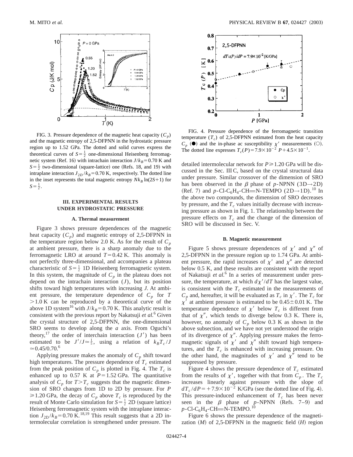

FIG. 3. Pressure dependence of the magnetic heat capacity  $(C_p)$ and the magnetic entropy of 2,5-DFPNN in the hydrostatic pressure region up to 1.52 GPa. The dotted and solid curves express the theoretical curves of  $S = \frac{1}{2}$  one-dimensional Heisenberg ferromagnetic system (Ref. 16) with intrachain interaction  $J/k_B$ =0.70 K and  $S = \frac{1}{2}$  two-dimensional (square-lattice) one (Refs. 18, and 19) with intraplane interaction  $J_{2D}/k_B$ =0.70 K, respectively. The dotted line in the inset represents the total magnetic entropy  $Nk_B$  ln(2*S*+1) for  $S=\frac{1}{2}$ .

# **III. EXPERIMENTAL RESULTS UNDER HYDROSTATIC PRESSURE**

## **A. Thermal measurement**

Figure 3 shows pressure dependences of the magnetic heat capacity  $(C_p)$  and magnetic entropy of 2,5-DFPNN in the temperature region below 2.0 K. As for the result of  $C_p$ at ambient pressure, there is a sharp anomaly due to the ferromagnetic LRO at around  $T=0.42$  K. This anomaly is not perfectly three-dimensional, and accompanies a plateau characteristic of  $S = \frac{1}{2}$  1D Heisenberg ferromagnetic system. In this system, the magnitude of  $C_p$  in the plateau does not depend on the intrachain interaction (*J*), but its position shifts toward high temperatures with increasing *J*. At ambient pressure, the temperature dependence of  $C_p$  for  $T$  $>1.0$  K can be reproduced by a theoretical curve of the above 1D system<sup>16</sup> with  $J/k_B$ =0.70 K. This analytic result is consistent with the previous report by Nakatsuji *et al.*<sup>6</sup> Given the crystal structure of 2,5-DFPNN, the one-dimensional SRO seems to develop along the *a* axis. From Oguchi's theory,<sup>17</sup> the order of interchain interaction  $(J')$  has been estimated to be  $J'/J \approx \frac{1}{5}$ , using a relation of  $k_B T_c/J$  $\approx 0.45/0.70$ .<sup>6</sup>

Applying pressure makes the anomaly of  $C_p$  shift toward high temperatures. The pressure dependence of  $T_c$  estimated from the peak position of  $C_p$  is plotted in Fig. 4. The  $T_c$  is enhanced up to 0.57 K at  $P=1.52$  GPa. The quantitative analysis of  $C_p$  for  $T>T_c$  suggests that the magnetic dimension of SRO changes from 1D to 2D by pressure. For *P*  $\geq 1.20$  GPa, the decay of  $C_p$  above  $T_c$  is reproduced by the result of Monte Carlo simulation for  $S = \frac{1}{2}$  2D (square lattice) Heisenberg ferromagnetic system with the intraplane interaction  $J_{2D}/k_B$ =0.70 K.<sup>18,19</sup> This result suggests that a 2D intermolecular correlation is strengthened under pressure. The



FIG. 4. Pressure dependence of the ferromagnetic transition temperature  $(T_c)$  of 2,5-DFPNN estimated from the heat capacity  $C_p$  ( $\bullet$ ) and the in-phase ac susceptibility  $\chi'$  measurements ( $\circ$ ). The dotted line expresses  $T_c(P) = 7.9 \times 10^{-2} P + 4.5 \times 10^{-1}$ .

detailed intermolecular network for  $P \ge 1.20$  GPa will be discussed in the Sec. III C, based on the crystal structural data under pressure. Similar crossover of the dimension of SRO has been observed in the  $\beta$  phase of *p*-NPNN (3D $\rightarrow$ 2D) (Ref. 7) and  $p$ -Cl-C<sub>6</sub>H<sub>4</sub>-CH=N-TEMPO (2D $\rightarrow$ 1D).<sup>10</sup> In the above two compounds, the dimension of SRO decreases by pressure, and the  $T_c$  values initially decrease with increasing pressure as shown in Fig. 1. The relationship between the pressure effects on  $T_c$  and the change of the dimension of SRO will be discussed in Sec. V.

## **B. Magnetic measurement**

Figure 5 shows pressure dependences of  $\chi'$  and  $\chi''$  of 2,5-DFPNN in the pressure region up to 1.74 GPa. At ambient pressure, the rapid increases of  $\chi'$  and  $\chi''$  are detected below 0.5 K, and these results are consistent with the report of Nakatsuji *et al.*<sup>6</sup> In a series of measurement under pressure, the temperature, at which  $d\chi'/dT$  has the largest value, is consistent with the  $T_c$  estimated in the measurements of  $C_p$  and, hereafter, it will be evaluated as  $T_c$  in  $\chi'$ . The  $T_c$  for  $\chi'$  at ambient pressure is estimated to be 0.45  $\pm$  0.01 K. The temperature dependence of  $\chi'$  below  $T_c$  is different from that of  $\chi''$ , which tends to diverge below 0.3 K. There is, however, no anomaly of  $C_p$  below 0.3 K as shown in the above subsection, and we have not yet understood the origin of its divergence of  $\chi''$ . Applying pressure makes the ferromagnetic signals of  $\chi'$  and  $\chi''$  shift toward high temperatures, and the  $T_c$  is enhanced with increasing pressure. On the other hand, the magnitudes of  $\chi'$  and  $\chi''$  tend to be suppressed by pressure.

Figure 4 shows the pressure dependence of  $T_c$  estimated from the results of  $\chi'$ , together with that from  $C_p$ . The  $T_c$ increases linearly against pressure with the slope of  $dT_c/dP = +7.9 \times 10^{-2}$  K/GPa (see the dotted line of Fig. 4). This pressure-induced enhancement of  $T_c$  has been never seen in the  $\beta$  phase of *p*-NPNN (Refs. 7–9) and  $p$ -Cl-C<sub>6</sub>H<sub>4</sub>-CH=N-TEMPO.<sup>10</sup>

Figure 6 shows the pressure dependence of the magnetization  $(M)$  of 2,5-DFPNN in the magnetic field  $(H)$  region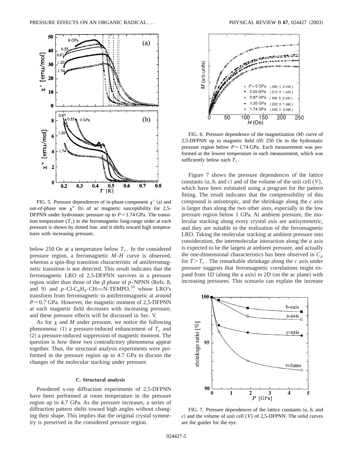

FIG. 5. Pressure dependences of in-phase component  $\chi'$  (a) and out-of-phase one  $\chi''$  (b) of ac magnetic susceptibility for 2,5-DFPNN under hydrostatic pressure up to  $P=1.74$  GPa. The transition temperature  $(T_c)$  to the ferromagnetic long-range order at each pressure is shown by dotted line, and it shifts toward high temperatures with increasing pressure.

below 250 Oe at a temperature below  $T_c$ . In the considered pressure region, a ferromagnetic *M*-*H* curve is observed, whereas a spin-flop transition characteristic of antiferromagnetic transition is not detected. This result indicates that the ferromagnetic LRO of 2,5-DFPNN survives in a pressure region wider than those of the  $\beta$  phase of *p*-NPNN (Refs. 8, and 9) and  $p$ -Cl-C<sub>6</sub>H<sub>4</sub>-CH=N-TEMPO,<sup>10</sup> whose LRO's transform from ferromagnetic to antiferromagnetic at around  $P=0.7$  GPa. However, the magnetic moment of 2,5-DFPNN at each magnetic field decreases with increasing pressure, and these pressure effects will be discussed in Sec. V.

As for  $\chi$  and  $M$  under pressure, we notice the following phenomena:  $(1)$  a pressure-induced enhancement of  $T_c$  and  $(2)$  a pressure-induced suppression of magnetic moment. The question is how these two contradictory phenomena appear together. Thus, the structural analysis experiments were performed in the pressure region up to 4.7 GPa to discuss the changes of the molecular stacking under pressure.

# **C. Structural analysis**

Powdered x-ray diffraction experiments of 2,5-DFPNN have been performed at room temperature in the pressure region up to 4.7 GPa. As the pressure increases, a series of diffraction pattern shifts toward high angles without changing their shape. This implies that the original crystal symmetry is preserved in the considered pressure region.



FIG. 6. Pressure dependence of the magnetization  $(M)$  curve of 2,5-DFPNN up to magnetic field (*H*) 250 Oe in the hydrostatic pressure region below  $P=1.74$  GPa. Each measurement was performed at the lowest temperature in each measurement, which was sufficiently below each  $T_c$ .

Figure 7 shows the pressure dependences of the lattice constants  $(a, b, \text{ and } c)$  and of the volume of the unit cell  $(V)$ , which have been estimated using a program for the pattern fitting. The result indicates that the compressibility of this compound is anisotropic, and the shrinkage along the *c* axis is larger than along the two other axes, especially in the low pressure region below 1 GPa. At ambient pressure, the molecular stacking along every crystal axis are antisymmetric, and they are suitable to the realization of the ferromagnetic LRO. Taking the molecular stacking at ambient pressure into consideration, the intermolecular interaction along the *a* axis is expected to be the largest at ambient pressure, and actually the one-dimensional characteristics has been observed in  $C_p$ for  $T>T_c$ . The remarkable shrinkage along the *c* axis under pressure suggests that ferromagnetic correlations might expand from 1D (along the  $a$  axis) to 2D (on the ac plane) with increasing pressures. This scenario can explain the increase



FIG. 7. Pressure dependences of the lattice constants  $(a, b, a$ nd *c*! and the volume of unit cell (*V*) of 2,5-DFPNN. The solid curves are the guides for the eye.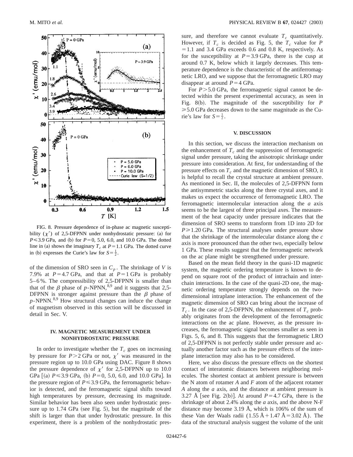

FIG. 8. Pressure dependence of in-phase ac magnetic susceptibility  $(\chi')$  of 2,5-DFPNN under nonhydrostatic pressure: (a) for  $P \le 3.9$  GPa, and (b) for  $P=0$ , 5.0, 6.0, and 10.0 GPa. The dotted line in (a) shows the imaginary  $T_c$  at  $P=1.1$  GPa. The dotted curve in (b) expresses the Curie's law for  $S = \frac{1}{2}$ .

of the dimension of SRO seen in  $C_p$ . The shrinkage of *V* is 7.9% at  $P=4.7$  GPa, and that at  $P=1$  GPa is probably 5–6 %. The compressibility of 2,5-DFPNN is smaller than that of the  $\beta$  phase of *p*-NPNN,<sup>8,9</sup> and it suggests that 2,5-DFPNN is stronger against pressure than the  $\beta$  phase of *p*-NPNN.8,9 How structural changes can induce the change of magnetism observed in this section will be discussed in detail in Sec. V.

# **IV. MAGNETIC MEASUREMENT UNDER NONHYDROSTATIC PRESSURE**

In order to investigate whether the  $T_c$  goes on increasing by pressure for  $P > 2$  GPa or not,  $\chi'$  was measured in the pressure region up to 10.0 GPa using DAC. Figure 8 shows the pressure dependence of  $\chi'$  for 2,5-DFPNN up to 10.0 GPa  $(a)$   $P \le 3.9$  GPa,  $(b)$   $P=0, 5.0, 6.0,$  and 10.0 GPa. In the pressure region of  $P \le 3.9$  GPa, the ferromagnetic behavior is detected, and the ferromagnetic signal shifts toward high temperatures by pressure, decreasing its magnitude. Similar behavior has been also seen under hydrostatic pressure up to  $1.74$  GPa (see Fig. 5), but the magnitude of the shift is larger than that under hydrostatic pressure. In this experiment, there is a problem of the nonhydrostatic pressure, and therefore we cannot evaluate  $T_c$  quantitatively. However, if  $T_c$  is decided as Fig. 5, the  $T_c$  value for *P*  $=1.1$  and 3.4 GPa exceeds 0.6 and 0.8 K, respectively. As for the susceptibility at  $P=3.9$  GPa, there is the cusp at around 0.7 K, below which it largely decreases. This temperature dependence is the characteristic of the antiferromagnetic LRO, and we suppose that the ferromagnetic LRO may disappear at around  $P=4$  GPa.

For  $P > 5.0$  GPa, the ferromagnetic signal cannot be detected within the present experimental accuracy, as seen in Fig. 8(b). The magnitude of the susceptibility for  $$  $\geq 5.0$  GPa decreases down to the same magnitude as the Curie's law for  $S = \frac{1}{2}$ .

# **V. DISCUSSION**

In this section, we discuss the interaction mechanism on the enhancement of  $T_c$  and the suppression of ferromagnetic signal under pressure, taking the anisotropic shrinkage under pressure into consideration. At first, for understanding of the pressure effects on  $T_c$  and the magnetic dimension of SRO, it is helpful to recall the crystal structure at ambient pressure. As mentioned in Sec. II, the molecules of 2,5-DFPNN form the antisymmetric stacks along the three crystal axes, and it makes us expect the occurrence of ferromagnetic LRO. The ferromagnetic intermolecular interaction along the *a* axis seems to be the largest of three principal axes. The measurement of the heat capacity under pressure indicates that the dimension of SRO seems to transform from 1D into 2D for  $P \ge 1.20$  GPa. The structural analyses under pressure show that the shrinkage of the intermolecular distance along the *c* axis is more pronounced than the other two, especially below 1 GPa. These results suggest that the ferromagnetic network on the ac plane might be strengthened under pressure.

Based on the mean field theory in the quasi-1D magnetic system, the magnetic ordering temperature is known to depend on square root of the product of intrachain and interchain interactions. In the case of the quasi-2D one, the magnetic ordering temperature strongly depends on the twodimensional intraplane interaction. The enhancement of the magnetic dimension of SRO can bring about the increase of  $T_c$ . In the case of 2,5-DFPNN, the enhancement of  $T_c$  probably originates from the development of the ferromagnetic interactions on the ac plane. However, as the pressure increases, the ferromagnetic signal becomes smaller as seen in Figs. 5, 6, and 8. This suggests that the ferromagnetic LRO of 2,5-DFPNN is not perfectly stable under pressure and actually another factor such as the pressure effects of the interplane interaction may also has to be considered.

Here, we also discuss the pressure effects on the shortest contact of interatomic distances between neighboring molecules. The shortest contact at ambient pressure is between the N atom of rotamer *A* and *F* atom of the adjacent rotamer *A* along the *a* axis, and the distance at ambient pressure is 3.27 Å [see Fig. 2(b)]. At around  $P=4.7$  GPa, there is the shrinkage of about 2.4% along the *a* axis, and the above N-F distance may become 3.19 Å, which is 106% of the sum of these Van der Waals radii (1.55 Å + 1.47 Å = 3.02 Å). The data of the structural analysis suggest the volume of the unit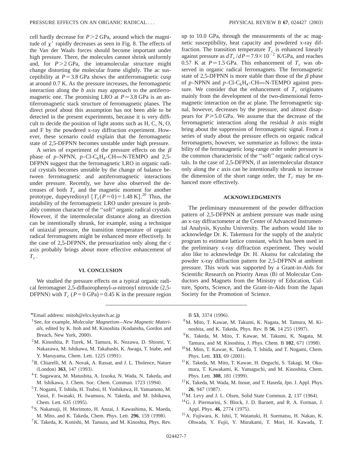cell hardly decrease for  $P > 2$  GPa, around which the magnitude of  $\chi'$  rapidly decreases as seen in Fig. 8. The effects of the Van der Waals forces should become important under high pressure. There, the molecules cannot shrink uniformly and, for  $P > 2$  GPa, the intramolecular structure might change distorting the molecular frame slightly. The ac susceptibility at  $P=3.8$  GPa shows the antiferromagnetic cusp at around 0.7 K. As the pressure increases, the ferromagnetic interaction along the *b* axis may approach to the antiferromagnetic one. The promising LRO at  $P \approx 3.8$  GPa is an antiferromagnetic stack structure of ferromagnetic planes. The direct proof about this assumption has not been able to be detected in the present experiments, because it is very difficult to decide the position of light atoms such as H, C, N, O, and F by the powdered x-ray diffraction experiment. However, these scenario could explain that the ferromagnetic state of 2,5-DFPNN becomes unstable under high pressure.

A series of experiment of the pressure effects on the  $\beta$ phase of *p*-NPNN, *p*-Cl-C<sub>6</sub>H<sub>4</sub>-CH=N-TEMPO and 2,5-DFPNN suggest that the ferromagnetic LRO in organic radical crystals becomes unstable by the change of balance between ferromagnetic and antiferromagnetic interactions under pressure. Recently, we have also observed the decreases of both  $T_c$  and the magnetic moment for another prototype, dupeyredioxyl  $[T_c(P=0) = 1.48 \text{ K}]$ .<sup>20</sup> Thus, the instability of the ferromagnetic LRO under pressure is probably common character of the ''soft'' organic radical crystals. However, if the intermolecular distance along an direction can be intentionally shrunk, for example, using a technique of uniaxial pressure, the transition temperature of organic radical ferromagnets might be enhanced more effectively. In the case of 2,5-DFPNN, the pressurization only along the *c* axis probably brings about more effective enhancement of  $T_c$ .

#### **VI. CONCLUSION**

We studied the pressure effects on a typical organic radical ferromagnet 2,5-difluorophenyl- $\alpha$ -nitronyl nitroxide (2,5-DFPNN) with  $T_c$  ( $P=0$  GPa) = 0.45 K in the pressure region

\*Email address: mitoh@elcs.kyutech.ac.jp

- <sup>1</sup> See, for example, *Molecular Magnetism—New Magnetic Materi*als, edited by K. Itoh and M. Kinoshita (Kodansha, Gordon and Breach, New York, 2000).
- 2M. Kinoshita, P. Turek, M. Tamura, K. Nozawa, D. Shiomi, Y. Nakazawa, M. Ishikawa, M. Takahashi, K. Awaga, T. Inabe, and Y. Maruyama, Chem. Lett. 1225 (1991).
- $3R$ . Chiarelli, M. A. Novak, A. Rassat, and J. L. Tholence, Nature (London) 363, 147 (1993).
- <sup>4</sup>T. Sugawara, M. Matushita, A. Izuoka, N. Wada, N. Takeda, and M. Ishikawa, J. Chem. Soc. Chem. Commun. 1723 (1994).
- 5T. Nogami, T. Ishida, H. Tsuboi, H. Yoshikawa, H. Yamamoto, M. Yasui, F. Iwasaki, H. Iwamura, N. Takeda, and M. Ishikawa, Chem. Lett. 635 (1995).
- 6S. Nakatsuji, H. Morimoto, H. Anzai, J. Kawashima, K. Maeda, M. Mito, and K. Takeda, Chem. Phys. Lett. **296**, 159 (1998).
- ${}^{7}$ K. Takeda, K. Konishi, M. Tamura, and M. Kinoshta, Phys. Rev.

up to 10.0 GPa, through the measurements of the ac magnetic susceptibility, heat capacity and powdered x-ray diffraction. The transition temperature  $T_c$  is enhanced linearly against pressure as  $dT_c/dP = 7.9 \times 10^{-2}$  K/GPa, and reaches 0.57 K at  $P \approx 1.5$  GPa. This enhancement of  $T_c$  was observed in organic radical ferromagnets. The ferromagnetic state of 2,5-DFPNN is more stable than those of the  $\beta$  phase of  $p$ -NPNN and  $p$ -Cl-C<sub>6</sub>H<sub>4</sub>-CH=N-TEMPO against pressure. We consider that the enhancement of  $T<sub>c</sub>$  originates mainly from the development of the two-dimensional ferromagnetic interaction on the ac plane. The ferromagnetic signal, however, decreases by the pressure, and almost disappears for  $P \ge 5.0$  GPa. We assume that the decrease of the ferromagnetic interaction along the residual *b* axis might bring about the suppression of ferromagnetic signal. From a series of study about the pressure effects on organic radical ferromagnets, however, we summarize as follows: the instability of the ferromagnetic long-range order under pressure is the common characteristic of the ''soft'' organic radical crystals. In the case of 2,5-DFPNN, if an intermolecular distance only along the *c* axis can be intentionally shrunk to increase the dimension of the short range order, the  $T_c$  may be enhanced more effectively.

### **ACKNOWLEDGMENTS**

The preliminary measurement of the powder diffraction pattern of 2,5-DFPNN at ambient pressure was made using an x-ray diffractometer at the Center of Advanced Instrumental Analysis, Kyushu University. The authors would like to acknowledge Dr. K. Takemura for the supply of the analytic program to estimate lattice constant, which has been used in the preliminary x-ray diffraction experiment. They would also like to acknowledge Dr. H. Akutsu for calculating the powder x-ray diffraction pattern for 2,5-DFPNN at ambient pressure. This work was supported by a Grant-in-Aids for Scientific Research on Priority Areas (B) of Molecular Conductors and Magnets from the Ministry of Education, Culture, Sports, Science, and the Grant-in-Aids from the Japan Society for the Promotion of Science.

B 53, 3374 (1996).

- 8M. Mito, T. Kawae, M. Takumi, K. Nagata, M. Tamura, M. Kinoshita, and K. Takeda, Phys. Rev. B 56, 14 255 (1997).
- <sup>9</sup>K. Takeda, M. Mito, T. Kawae, M. Takumi, K. Nagata, M. Tamura, and M. Kinoshita, J. Phys. Chem. B 102, 671 (1998).
- 10M. Mito, T. Kawae, K. Takeda, T. Ishida, and T. Nogami, Chem. Phys. Lett. 333, 69 (2001).
- <sup>11</sup>K. Takeda, M. Mito, T. Kawae, H. Deguchi, S. Takagi, M. Okumura, T. Kawakami, K. Yamaguchi, and M. Kinoshita, Chem. Phys. Lett. 308, 181 (1999).
- 12K. Takeda, M. Wada, M. Inoue, and T. Haseda, Jpn. J. Appl. Phys. **26**, 947 (1987).
- $13$ M. Levy and J. L. Olsen, Solid State Commun. 2, 137  $(1964)$ .
- 14G. J. Piermarini, S. Block, J. D. Barnett, and R. A. Forman, J. Appl. Phys. 46, 2774 (1975).
- 15A. Fujiwara, K. Ishii, T. Watanuki, H. Suematsu, H. Nakao, K. Ohwada, Y. Fujii, Y. Murakami, T. Mori, H. Kawada, T.